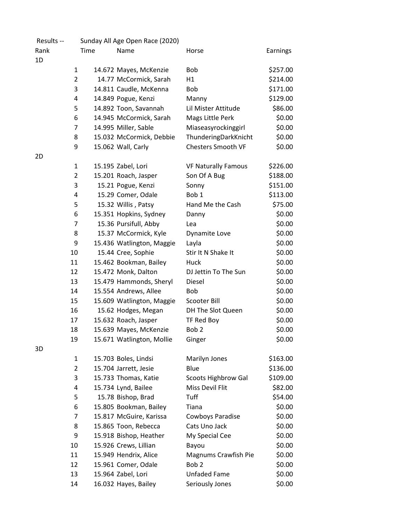| Results -- | Sunday All Age Open Race (2020) |      |                           |                            |          |
|------------|---------------------------------|------|---------------------------|----------------------------|----------|
| Rank       |                                 | Time | Name                      | Horse                      | Earnings |
| 1D         |                                 |      |                           |                            |          |
|            | $\mathbf{1}$                    |      | 14.672 Mayes, McKenzie    | Bob                        | \$257.00 |
|            | $\overline{2}$                  |      | 14.77 McCormick, Sarah    | H1                         | \$214.00 |
|            | 3                               |      | 14.811 Caudle, McKenna    | <b>Bob</b>                 | \$171.00 |
|            | 4                               |      | 14.849 Pogue, Kenzi       | Manny                      | \$129.00 |
|            | 5                               |      | 14.892 Toon, Savannah     | Lil Mister Attitude        | \$86.00  |
|            | 6                               |      | 14.945 McCormick, Sarah   | Mags Little Perk           | \$0.00   |
|            | 7                               |      | 14.995 Miller, Sable      | Miaseasyrockinggirl        | \$0.00   |
|            | 8                               |      | 15.032 McCormick, Debbie  | ThunderingDarkKnicht       | \$0.00   |
|            | 9                               |      | 15.062 Wall, Carly        | <b>Chesters Smooth VF</b>  | \$0.00   |
| 2D         |                                 |      |                           |                            |          |
|            | 1                               |      | 15.195 Zabel, Lori        | <b>VF Naturally Famous</b> | \$226.00 |
|            | $\overline{2}$                  |      | 15.201 Roach, Jasper      | Son Of A Bug               | \$188.00 |
|            | 3                               |      | 15.21 Pogue, Kenzi        | Sonny                      | \$151.00 |
|            | 4                               |      | 15.29 Comer, Odale        | Bob <sub>1</sub>           | \$113.00 |
|            | 5                               |      | 15.32 Willis, Patsy       | Hand Me the Cash           | \$75.00  |
|            | 6                               |      | 15.351 Hopkins, Sydney    | Danny                      | \$0.00   |
|            | 7                               |      | 15.36 Pursifull, Abby     | Lea                        | \$0.00   |
|            | 8                               |      | 15.37 McCormick, Kyle     | Dynamite Love              | \$0.00   |
|            | 9                               |      | 15.436 Watlington, Maggie | Layla                      | \$0.00   |
|            | 10                              |      | 15.44 Cree, Sophie        | Stir It N Shake It         | \$0.00   |
|            | 11                              |      | 15.462 Bookman, Bailey    | Huck                       | \$0.00   |
|            | 12                              |      | 15.472 Monk, Dalton       | DJ Jettin To The Sun       | \$0.00   |
|            | 13                              |      | 15.479 Hammonds, Sheryl   | Diesel                     | \$0.00   |
|            | 14                              |      | 15.554 Andrews, Allee     | <b>Bob</b>                 | \$0.00   |
|            | 15                              |      | 15.609 Watlington, Maggie | Scooter Bill               | \$0.00   |
|            | 16                              |      | 15.62 Hodges, Megan       | DH The Slot Queen          | \$0.00   |
|            | 17                              |      | 15.632 Roach, Jasper      | TF Red Boy                 | \$0.00   |
|            | 18                              |      | 15.639 Mayes, McKenzie    | Bob <sub>2</sub>           | \$0.00   |
|            | 19                              |      | 15.671 Watlington, Mollie | Ginger                     | \$0.00   |
| 3D         |                                 |      |                           |                            |          |
|            | 1                               |      | 15.703 Boles, Lindsi      | Marilyn Jones              | \$163.00 |
|            | 2                               |      | 15.704 Jarrett, Jesie     | Blue                       | \$136.00 |
|            | 3                               |      | 15.733 Thomas, Katie      | <b>Scoots Highbrow Gal</b> | \$109.00 |
|            | 4                               |      | 15.734 Lynd, Bailee       | Miss Devil Flit            | \$82.00  |
|            | 5                               |      | 15.78 Bishop, Brad        | Tuff                       | \$54.00  |
|            | 6                               |      | 15.805 Bookman, Bailey    | Tiana                      | \$0.00   |
|            | 7                               |      | 15.817 McGuire, Karissa   | Cowboys Paradise           | \$0.00   |
|            | 8                               |      | 15.865 Toon, Rebecca      | Cats Uno Jack              | \$0.00   |
|            | 9                               |      | 15.918 Bishop, Heather    | My Special Cee             | \$0.00   |
|            | 10                              |      | 15.926 Crews, Lillian     | Bayou                      | \$0.00   |
|            | 11                              |      | 15.949 Hendrix, Alice     | Magnums Crawfish Pie       | \$0.00   |
|            | 12                              |      | 15.961 Comer, Odale       | Bob <sub>2</sub>           | \$0.00   |
|            | 13                              |      | 15.964 Zabel, Lori        | <b>Unfaded Fame</b>        | \$0.00   |
|            | 14                              |      | 16.032 Hayes, Bailey      | Seriously Jones            | \$0.00   |
|            |                                 |      |                           |                            |          |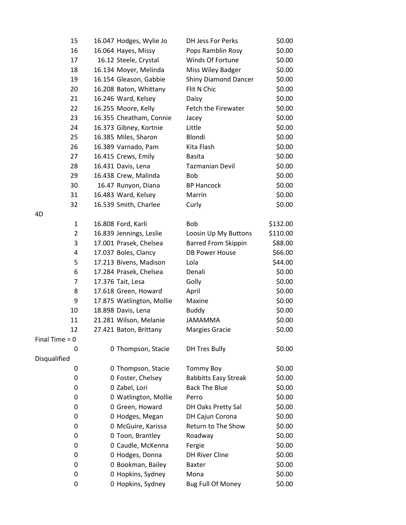| 15               | 16.047 Hodges, Wylie Jo   | DH Jess For Perks           | \$0.00   |
|------------------|---------------------------|-----------------------------|----------|
| 16               | 16.064 Hayes, Missy       | Pops Ramblin Rosy           | \$0.00   |
| 17               | 16.12 Steele, Crystal     | Winds Of Fortune            | \$0.00   |
| 18               | 16.134 Moyer, Melinda     | Miss Wiley Badger           | \$0.00   |
| 19               | 16.154 Gleason, Gabbie    | <b>Shiny Diamond Dancer</b> | \$0.00   |
| 20               | 16.208 Baton, Whittany    | Flit N Chic                 | \$0.00   |
| 21               | 16.246 Ward, Kelsey       | Daisy                       | \$0.00   |
| 22               | 16.255 Moore, Kelly       | Fetch the Firewater         | \$0.00   |
| 23               | 16.355 Cheatham, Connie   | Jacey                       | \$0.00   |
| 24               | 16.373 Gibney, Kortnie    | Little                      | \$0.00   |
| 25               | 16.385 Miles, Sharon      | Blondi                      | \$0.00   |
| 26               | 16.389 Varnado, Pam       | Kita Flash                  | \$0.00   |
| 27               | 16.415 Crews, Emily       | <b>Basita</b>               | \$0.00   |
| 28               | 16.431 Davis, Lena        | <b>Tazmanian Devil</b>      | \$0.00   |
| 29               | 16.438 Crew, Malinda      | <b>Bob</b>                  | \$0.00   |
| 30               | 16.47 Runyon, Diana       | <b>BP Hancock</b>           | \$0.00   |
| 31               | 16.483 Ward, Kelsey       | Marrin                      | \$0.00   |
| 32               | 16.539 Smith, Charlee     | Curly                       | \$0.00   |
| 4D               |                           |                             |          |
| $\mathbf{1}$     | 16.808 Ford, Karli        | <b>Bob</b>                  | \$132.00 |
| $\overline{2}$   | 16.839 Jennings, Leslie   | Loosin Up My Buttons        | \$110.00 |
| 3                | 17.001 Prasek, Chelsea    | <b>Barred From Skippin</b>  | \$88.00  |
| 4                | 17.037 Boles, Clancy      | <b>DB Power House</b>       | \$66.00  |
| 5                | 17.213 Bivens, Madison    | Lola                        | \$44.00  |
| 6                | 17.284 Prasek, Chelsea    | Denali                      | \$0.00   |
| 7                | 17.376 Tait, Lesa         | Golly                       | \$0.00   |
| 8                | 17.618 Green, Howard      | April                       | \$0.00   |
| 9                | 17.875 Watlington, Mollie | Maxine                      | \$0.00   |
| 10               | 18.898 Davis, Lena        | <b>Buddy</b>                | \$0.00   |
| 11               | 21.281 Wilson, Melanie    | <b>JAMAMMA</b>              | \$0.00   |
| 12               | 27.421 Baton, Brittany    | <b>Margies Gracie</b>       | \$0.00   |
| Final Time $= 0$ |                           |                             |          |
| 0                | 0 Thompson, Stacie        | <b>DH Tres Bully</b>        | \$0.00   |
| Disqualified     |                           |                             |          |
| 0                | 0 Thompson, Stacie        | <b>Tommy Boy</b>            | \$0.00   |
| 0                | 0 Foster, Chelsey         | <b>Babbitts Easy Streak</b> | \$0.00   |
| 0                | 0 Zabel, Lori             | <b>Back The Blue</b>        | \$0.00   |
| 0                | 0 Watlington, Mollie      | Perro                       | \$0.00   |
| 0                | 0 Green, Howard           | DH Oaks Pretty Sal          | \$0.00   |
| 0                | 0 Hodges, Megan           | DH Cajun Corona             | \$0.00   |
| 0                | 0 McGuire, Karissa        | Return to The Show          | \$0.00   |
| 0                | 0 Toon, Brantley          | Roadway                     | \$0.00   |
| 0                | 0 Caudle, McKenna         | Fergie                      | \$0.00   |
| 0                | 0 Hodges, Donna           | <b>DH River Cline</b>       | \$0.00   |
| 0                | 0 Bookman, Bailey         | <b>Baxter</b>               | \$0.00   |
| 0                | 0 Hopkins, Sydney         | Mona                        | \$0.00   |
| 0                | 0 Hopkins, Sydney         | <b>Bug Full Of Money</b>    | \$0.00   |